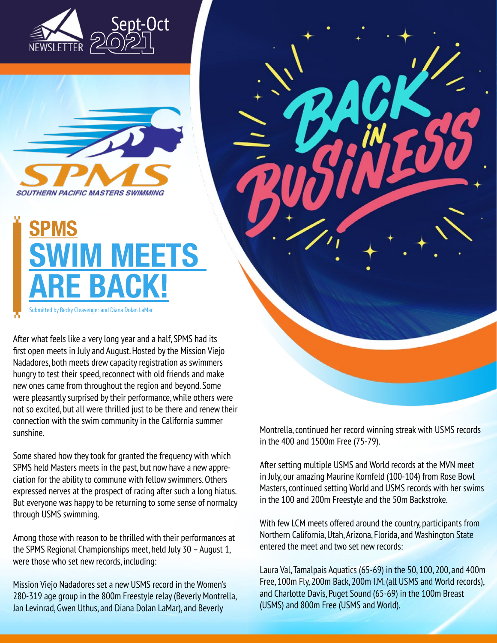



## **SPMS SWIM MEETS ARE BACK!**

Submitted by Becky Cleavenger and Diana Dolan LaMar

After what feels like a very long year and a half, SPMS had its first open meets in July and August. Hosted by the Mission Viejo Nadadores, both meets drew capacity registration as swimmers hungry to test their speed, reconnect with old friends and make new ones came from throughout the region and beyond. Some were pleasantly surprised by their performance, while others were not so excited, but all were thrilled just to be there and renew their connection with the swim community in the California summer sunshine.

Some shared how they took for granted the frequency with which SPMS held Masters meets in the past, but now have a new appreciation for the ability to commune with fellow swimmers. Others expressed nerves at the prospect of racing after such a long hiatus. But everyone was happy to be returning to some sense of normalcy through USMS swimming.

Among those with reason to be thrilled with their performances at the SPMS Regional Championships meet, held July 30 – August 1, were those who set new records, including:

Mission Viejo Nadadores set a new USMS record in the Women's 280-319 age group in the 800m Freestyle relay (Beverly Montrella, Jan Levinrad, Gwen Uthus, and Diana Dolan LaMar), and Beverly

Montrella, continued her record winning streak with USMS records in the 400 and 1500m Free (75-79).

After setting multiple USMS and World records at the MVN meet in July, our amazing Maurine Kornfeld (100-104) from Rose Bowl Masters, continued setting World and USMS records with her swims in the 100 and 200m Freestyle and the 50m Backstroke.

With few LCM meets offered around the country, participants from Northern California, Utah, Arizona, Florida, and Washington State entered the meet and two set new records:

Laura Val, Tamalpais Aquatics (65-69) in the 50, 100, 200, and 400m Free, 100m Fly, 200m Back, 200m I.M. (all USMS and World records), and Charlotte Davis, Puget Sound (65-69) in the 100m Breast (USMS) and 800m Free (USMS and World).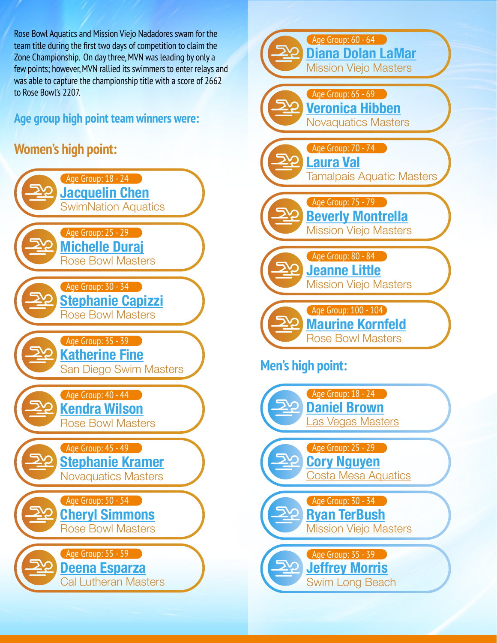Rose Bowl Aquatics and Mission Viejo Nadadores swam for the team title during the first two days of competition to claim the Zone Championship. On day three, MVN was leading by only a few points; however, MVN rallied its swimmers to enter relays and was able to capture the championship title with a score of 2662 to Rose Bowl's 2207.

## **Age group high point team winners were:**

## **Women's high point:**



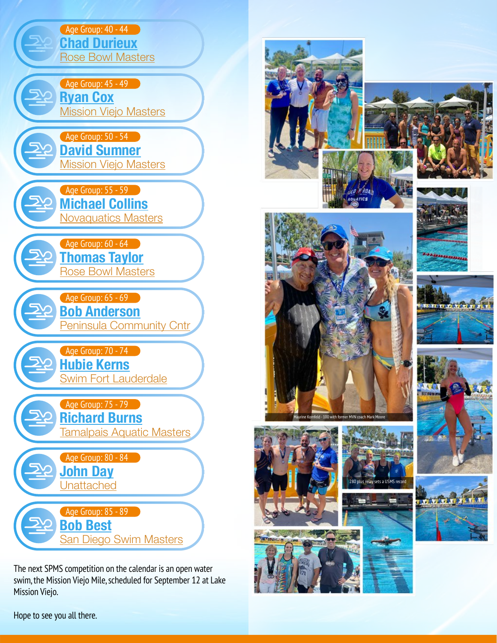

The next SPMS competition on the calendar is an open water swim, the Mission Viejo Mile, scheduled for September 12 at Lake Mission Viejo.





















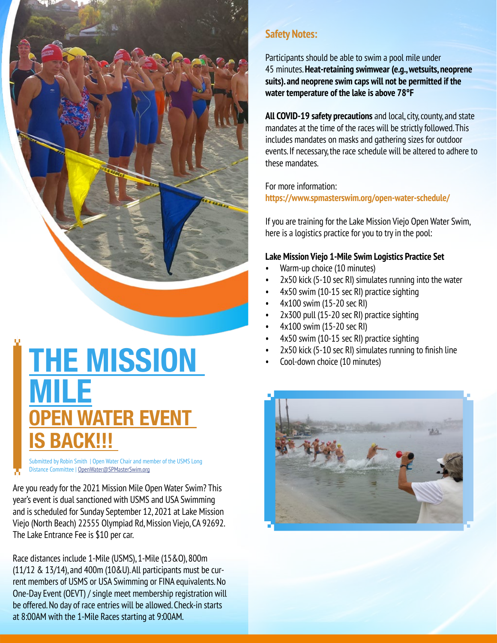

**THE MISSION MILE EN WATER EVENT IS BACK!!!** 

Submitted by Robin Smith | Open Water Chair and member of the USMS Long Distance Committee | [OpenWater@SPMasterSwim.org](mailto:OpenWater%40SPMasterSwim.org?subject=)

Are you ready for the 2021 Mission Mile Open Water Swim? This year's event is dual sanctioned with USMS and USA Swimming and is scheduled for Sunday September 12, 2021 at Lake Mission Viejo (North Beach) 22555 Olympiad Rd, Mission Viejo, CA 92692. The Lake Entrance Fee is \$10 per car.

Race distances include 1-Mile (USMS), 1-Mile (15&O), 800m (11/12 & 13/14), and 400m (10&U). All participants must be current members of USMS or USA Swimming or FINA equivalents. No One-Day Event (OEVT) / single meet membership registration will be offered. No day of race entries will be allowed. Check-in starts at 8:00AM with the 1-Mile Races starting at 9:00AM.

### **Safety Notes:**

Participants should be able to swim a pool mile under 45 minutes. **Heat-retaining swimwear (e.g., wetsuits, neoprene suits). and neoprene swim caps will not be permitted if the water temperature of the lake is above 78°F**

**All COVID-19 safety precautions** and local, city, county, and state mandates at the time of the races will be strictly followed. This includes mandates on masks and gathering sizes for outdoor events. If necessary, the race schedule will be altered to adhere to these mandates.

For more information: **https://www.spmasterswim.org/open-water-schedule/**

If you are training for the Lake Mission Viejo Open Water Swim, here is a logistics practice for you to try in the pool:

#### **Lake Mission Viejo 1-Mile Swim Logistics Practice Set**

- Warm-up choice (10 minutes)
- 2x50 kick (5-10 sec RI) simulates running into the water
- 4x50 swim (10-15 sec RI) practice sighting
- 4x100 swim (15-20 sec RI)
- 2x300 pull (15-20 sec RI) practice sighting
- 4x100 swim (15-20 sec RI)
- 4x50 swim (10-15 sec RI) practice sighting
- 2x50 kick (5-10 sec RI) simulates running to finish line
- Cool-down choice (10 minutes)

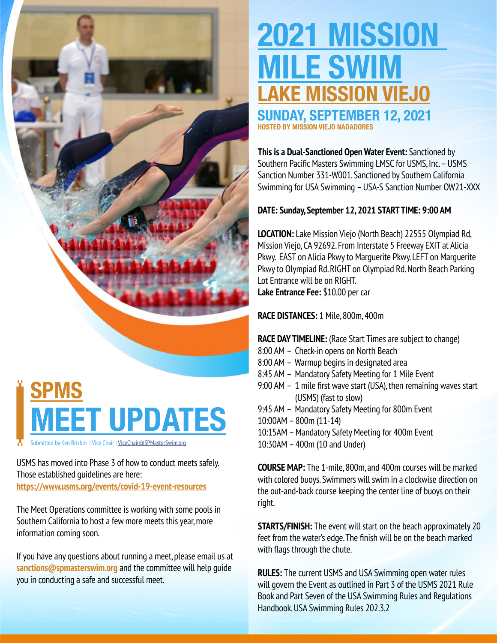# **SPMS MEET UPDATES**

Submitted by Ken Brisbin | Vice Chair | [ViceChair@SPMasterSwim.org](mailto:ViceChair%40SPMasterSwim.org?subject=)

USMS has moved into Phase 3 of how to conduct meets safely. Those established guidelines are here: **<https://www.usms.org/events/covid-19-event-resources>**

The Meet Operations committee is working with some pools in Southern California to ho[s](https://www.spmasterswim.org/meet-schedule/
)t a few more meets this year, more information coming soon.

If you have any questions about running a meet, please email us at **[sanctions@spmasterswim.org](mailto:sanctions%40spmasterswim.org?subject=)** and the committee will help guide you in conducting a safe and successful meet.

# **2021 MISSION MILE SWIM LAKE MISSION VIEJO**

**SUNDAY, SEPTEMBER 12, 2021 HOSTED BY MISSION VIEJO NADADORES**

**This is a Dual-Sanctioned Open Water Event:** Sanctioned by Southern Pacific Masters Swimming LMSC for USMS, Inc. – USMS Sanction Number 331-W001. Sanctioned by Southern California Swimming for USA Swimming – USA-S Sanction Number OW21-XXX

### **DATE: Sunday, September 12, 2021 START TIME: 9:00 AM**

**LOCATION:** Lake Mission Viejo (North Beach) 22555 Olympiad Rd, Mission Viejo, CA 92692. From Interstate 5 Freeway EXIT at Alicia Pkwy. EAST on Alicia Pkwy to Marguerite Pkwy. LEFT on Marguerite Pkwy to Olympiad Rd. RIGHT on Olympiad Rd. North Beach Parking Lot Entrance will be on RIGHT.

**Lake Entrance Fee:** \$10.00 per car

**RACE DISTANCES:** 1 Mile, 800m, 400m

### **RACE DAY TIMELINE:** (Race Start Times are subject to change)

- 8:00 AM Check-in opens on North Beach
- 8:00 AM Warmup begins in designated area
- 8:45 AM Mandatory Safety Meeting for 1 Mile Event
- 9:00 AM 1 mile first wave start (USA), then remaining waves start (USMS) (fast to slow)
- 9:45 AM Mandatory Safety Meeting for 800m Event
- 10:00AM 800m (11-14)
- 10:15AM Mandatory Safety Meeting for 400m Event
- 10:30AM 400m (10 and Under)

**COURSE MAP:** The 1-mile, 800m, and 400m courses will be marked with colored buoys. Swimmers will swim in a clockwise direction on the out-and-back course keeping the center line of buoys on their right.

**STARTS/FINISH:** The event will start on the beach approximately 20 feet from the water's edge. The finish will be on the beach marked with flags through the chute.

**RULES:** The current USMS and USA Swimming open water rules will govern the Event as outlined in Part 3 of the USMS 2021 Rule Book and Part Seven of the USA Swimming Rules and Regulations Handbook. USA Swimming Rules 202.3.2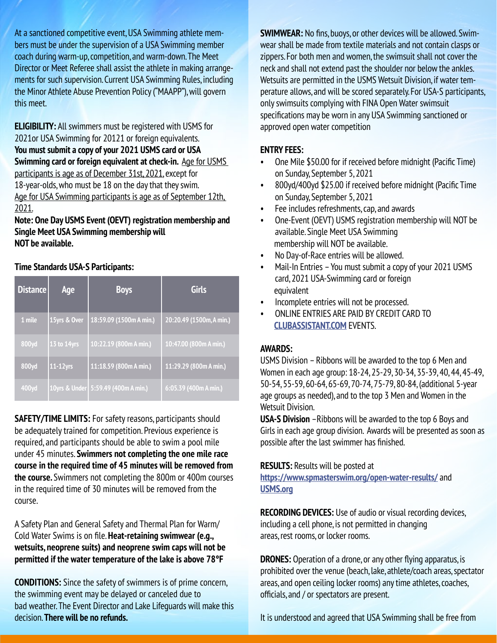At a sanctioned competitive event, USA Swimming athlete members must be under the supervision of a USA Swimming member coach during warm-up, competition, and warm-down. The Meet Director or Meet Referee shall assist the athlete in making arrangements for such supervision. Current USA Swimming Rules, including the Minor Athlete Abuse Prevention Policy ("MAAPP"), will govern this meet.

**ELIGIBILITY:** All swimmers must be registered with USMS for 2021or USA Swimming for 20121 or foreign equivalents. **You must submit a copy of your 2021 USMS card or USA Swimming card or foreign equivalent at check-in.** Age for USMS participants is age as of December 31st, 2021, except for 18-year-olds, who must be 18 on the day that they swim. Age for USA Swimming participants is age as of September 12th, 2021.

**Note: One Day USMS Event (OEVT) registration membership and Single Meet USA Swimming membership will NOT be available.**

#### **Time Standards USA-S Participants:**

| <b>Distance</b> | Age          | <b>Boys</b>                           | <b>Girls</b>             |
|-----------------|--------------|---------------------------------------|--------------------------|
| 1 mile          | 15yrs & Over | 18:59.09 (1500m A min.)               | 20:20.49 (1500m, A min.) |
| 800yd           | 13 to 14yrs  | 10:22.19 (800m A min.)                | 10:47.00 (800m A min.)   |
| 800yd           | 11-12yrs     | 11:18.59 (800m A min.)                | 11:29.29 (800m A min.)   |
| 400yd           |              | 10yrs & Under   5:59.49 (400m A min.) | 6:05.39 (400m A min.)    |

**SAFETY/TIME LIMITS:** For safety reasons, participants should be adequately trained for competition. Previous experience is required, and participants should be able to swim a pool mile under 45 minutes. **Swimmers not completing the one mile race course in the required time of 45 minutes will be removed from the course.** Swimmers not completing the 800m or 400m courses in the required time of 30 minutes will be removed from the course.

A Safety Plan and General Safety and Thermal Plan for Warm/ Cold Water Swims is on file. **Heat-retaining swimwear (e.g., wetsuits, neoprene suits) and neoprene swim caps will not be permitted if the water temperature of the lake is above 78°F**

**CONDITIONS:** Since the safety of swimmers is of prime concern, the swimming event may be delayed or canceled due to bad weather. The Event Director and Lake Lifeguards will make this decision. **There will be no refunds.** 

**SWIMWEAR:** No fins, buoys, or other devices will be allowed. Swimwear shall be made from textile materials and not contain clasps or zippers. For both men and women, the swimsuit shall not cover the neck and shall not extend past the shoulder nor below the ankles. Wetsuits are permitted in the USMS Wetsuit Division, if water temperature allows, and will be scored separately. For USA-S participants, only swimsuits complying with FINA Open Water swimsuit specifications may be worn in any USA Swimming sanctioned or approved open water competition

#### **ENTRY FEES:**

- One Mile \$50.00 for if received before midnight (Pacific Time) on Sunday, September 5, 2021
- 800yd/400yd \$25.00 if received before midnight (Pacific Time on Sunday, September 5, 2021
- Fee includes refreshments, cap, and awards
- One-Event (OEVT) USMS registration membership will NOT be available. Single Meet USA Swimming membership will NOT be available.
- No Day-of-Race entries will be allowed.
- Mail-In Entries You must submit a copy of your 2021 USMS card, 2021 USA-Swimming card or foreign equivalent
- Incomplete entries will not be processed.
- ONLINE ENTRIES ARE PAID BY CREDIT CARD TO **[CLUBASSISTANT.COM](http://CLUBASSISTANT.COM)** EVENTS.

#### **AWARDS:**

USMS Division – Ribbons will be awarded to the top 6 Men and Women in each age group: 18-24, 25-29, 30-34, 35-39, 40, 44, 45-49, 50-54, 55-59, 60-64, 65-69, 70-74, 75-79, 80-84, (additional 5-year age groups as needed), and to the top 3 Men and Women in the Wetsuit Division.

**USA-S Division** –Ribbons will be awarded to the top 6 Boys and Girls in each age group division. Awards will be presented as soon as possible after the last swimmer has finished.

#### **RESULTS:** Results will be posted at

**<https://www.spmasterswim.org/open-water-results/>** and **[USMS.org](http://USMS.org)**

**RECORDING DEVICES:** Use of audio or visual recording devices, including a cell phone, is not permitted in changing areas, rest rooms, or locker rooms.

**DRONES:** Operation of a drone, or any other flying apparatus, is prohibited over the venue (beach, lake, athlete/coach areas, spectator areas, and open ceiling locker rooms) any time athletes, coaches, officials, and / or spectators are present.

It is understood and agreed that USA Swimming shall be free from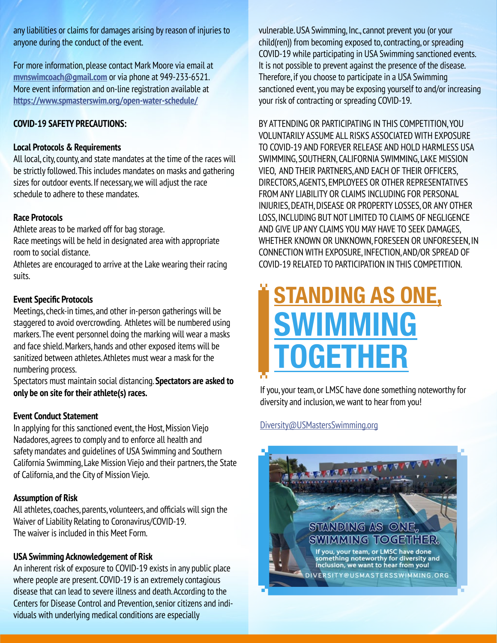any liabilities or claims for damages arising by reason of injuries to anyone during the conduct of the event.

For more information, please contact Mark Moore via email at **[mvnswimcoach@gmail.com](mailto:mvnswimcoach%40gmail.com?subject=)** or via phone at 949-233-6521. More event information and on-line registration available at **<https://www.spmasterswim.org/open-water-schedule/>**

#### **COVID-19 SAFETY PRECAUTIONS:**

#### **Local Protocols & Requirements**

All local, city, county, and state mandates at the time of the races will be strictly followed. This includes mandates on masks and gathering sizes for outdoor events. If necessary, we will adjust the race schedule to adhere to these mandates.

#### **Race Protocols**

Athlete areas to be marked off for bag storage.

Race meetings will be held in designated area with appropriate room to social distance.

Athletes are encouraged to arrive at the Lake wearing their racing suits.

#### **Event Specific Protocols**

Meetings, check-in times, and other in-person gatherings will be staggered to avoid overcrowding. Athletes will be numbered using markers. The event personnel doing the marking will wear a masks and face shield. Markers, hands and other exposed items will be sanitized between athletes. Athletes must wear a mask for the numbering process.

Spectators must maintain social distancing. **Spectators are asked to only be on site for their athlete(s) races.**

#### **Event Conduct Statement**

In applying for this sanctioned event, the Host, Mission Viejo Nadadores, agrees to comply and to enforce all health and safety mandates and guidelines of USA Swimming and Southern California Swimming, Lake Mission Viejo and their partners, the State of California, and the City of Mission Viejo.

#### **Assumption of Risk**

All athletes, coaches, parents, volunteers, and officials will sign the Waiver of Liability Relating to Coronavirus/COVID-19. The waiver is included in this Meet Form.

#### **USA Swimming Acknowledgement of Risk**

An inherent risk of exposure to COVID-19 exists in any public place where people are present. COVID-19 is an extremely contagious disease that can lead to severe illness and death. According to the Centers for Disease Control and Prevention, senior citizens and individuals with underlying medical conditions are especially

vulnerable. USA Swimming, Inc., cannot prevent you (or your child(ren)) from becoming exposed to, contracting, or spreading COVID-19 while participating in USA Swimming sanctioned events. It is not possible to prevent against the presence of the disease. Therefore, if you choose to participate in a USA Swimming sanctioned event, you may be exposing yourself to and/or increasing your risk of contracting or spreading COVID-19.

BY ATTENDING OR PARTICIPATING IN THIS COMPETITION, YOU VOLUNTARILY ASSUME ALL RISKS ASSOCIATED WITH EXPOSURE TO COVID-19 AND FOREVER RELEASE AND HOLD HARMLESS USA SWIMMING, SOUTHERN, CALIFORNIA SWIMMING, LAKE MISSION VIEO, AND THEIR PARTNERS, AND EACH OF THEIR OFFICERS, DIRECTORS, AGENTS, EMPLOYEES OR OTHER REPRESENTATIVES FROM ANY LIABILITY OR CLAIMS INCLUDING FOR PERSONAL INJURIES, DEATH, DISEASE OR PROPERTY LOSSES, OR ANY OTHER LOSS, INCLUDING BUT NOT LIMITED TO CLAIMS OF NEGLIGENCE AND GIVE UP ANY CLAIMS YOU MAY HAVE TO SEEK DAMAGES, WHETHER KNOWN OR UNKNOWN, FORESEEN OR UNFORESEEN, IN CONNECTION WITH EXPOSURE, INFECTION, AND/OR SPREAD OF COVID-19 RELATED TO PARTICIPATION IN THIS COMPETITION.

# **STANDING AS ONE, SWIMMING TOGETHER**

If you, your team, or LMSC have done something noteworthy for diversity and inclusion, we want to hear from you!

#### Diversity@USMastersSwimming.org

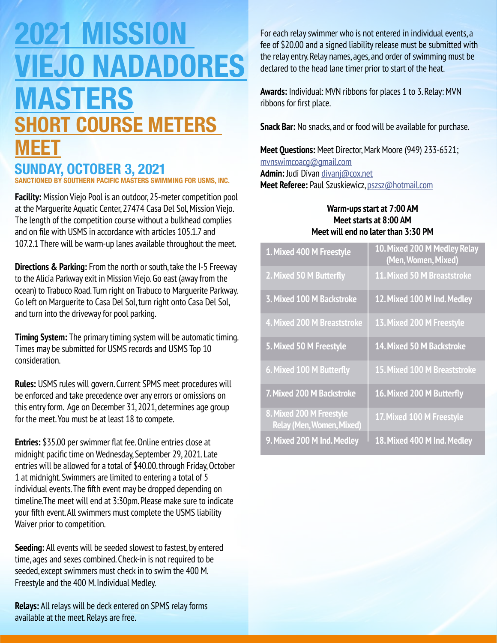## **2021 MISSION VIEJO NADADORES MASTERS SHORT COURSE METERS MEET**

### **SUNDAY, OCTOBER 3, 2021**

**SANCTIONED BY SOUTHERN PACIFIC MASTERS SWIMMING FOR USMS, INC.**

**Facility:** Mission Viejo Pool is an outdoor, 25-meter competition pool at the Marguerite Aquatic Center, 27474 Casa Del Sol, Mission Viejo. The length of the competition course without a bulkhead complies and on file with USMS in accordance with articles 105.1.7 and 107.2.1 There will be warm-up lanes available throughout the meet.

**Directions & Parking:** From the north or south, take the I-5 Freeway to the Alicia Parkway exit in Mission Viejo. Go east (away from the ocean) to Trabuco Road. Turn right on Trabuco to Marguerite Parkway. Go left on Marguerite to Casa Del Sol, turn right onto Casa Del Sol, and turn into the driveway for pool parking.

**Timing System:** The primary timing system will be automatic timing. Times may be submitted for USMS records and USMS Top 10 consideration.

**Rules:** USMS rules will govern. Current SPMS meet procedures will be enforced and take precedence over any errors or omissions on this entry form. Age on December 31, 2021, determines age group for the meet. You must be at least 18 to compete.

**Entries:** \$35.00 per swimmer flat fee. Online entries close at midnight pacific time on Wednesday, September 29, 2021. Late entries will be allowed for a total of \$40.00. through Friday, October 1 at midnight. Swimmers are limited to entering a total of 5 individual events. The fifth event may be dropped depending on timeline.The meet will end at 3:30pm. Please make sure to indicate your fifth event. All swimmers must complete the USMS liability Waiver prior to competition.

**Seeding:** All events will be seeded slowest to fastest, by entered time, ages and sexes combined. Check-in is not required to be seeded, except swimmers must check in to swim the 400 M. Freestyle and the 400 M. Individual Medley.

**Relays:** All relays will be deck entered on SPMS relay forms available at the meet. Relays are free.

For each relay swimmer who is not entered in individual events, a fee of \$20.00 and a signed liability release must be submitted with the relay entry. Relay names, ages, and order of swimming must be declared to the head lane timer prior to start of the heat.

**Awards:** Individual: MVN ribbons for places 1 to 3. Relay: MVN ribbons for first place.

**Snack Bar:** No snacks, and or food will be available for purchase.

#### **Meet Questions:** Meet Director, Mark Moore (949) 233-6521;

[mvnswimcoacg@gmail.com](mailto:mvnswimcoacg%40gmail.com?subject=)

**Admin:** Judi Divan [divanj@cox.net](mailto:divanj%40cox.net?subject=) **Meet Referee:** Paul Szuskiewicz, [pszsz@hotmail.com](mailto:pszsz%40hotmail.com?subject=)

#### **Warm-ups start at 7:00 AM Meet starts at 8:00 AM Meet will end no later than 3:30 PM**

| 1. Mixed 400 M Freestyle                                     | 10. Mixed 200 M Medley Relay<br>(Men, Women, Mixed) |
|--------------------------------------------------------------|-----------------------------------------------------|
| 2. Mixed 50 M Butterfly                                      | 11. Mixed 50 M Breaststroke                         |
| <b>3. Mixed 100 M Backstroke</b>                             | 12. Mixed 100 M Ind. Medley                         |
| 4. Mixed 200 M Breaststroke                                  | 13. Mixed 200 M Freestyle                           |
| 5. Mixed 50 M Freestyle                                      | 14. Mixed 50 M Backstroke                           |
| 6. Mixed 100 M Butterfly                                     | 15. Mixed 100 M Breaststroke                        |
| 7. Mixed 200 M Backstroke                                    | 16. Mixed 200 M Butterfly                           |
| 8. Mixed 200 M Freestyle<br><b>Relay (Men, Women, Mixed)</b> | 17. Mixed 100 M Freestyle                           |
| 9. Mixed 200 M Ind. Medley                                   | 18. Mixed 400 M Ind. Medley                         |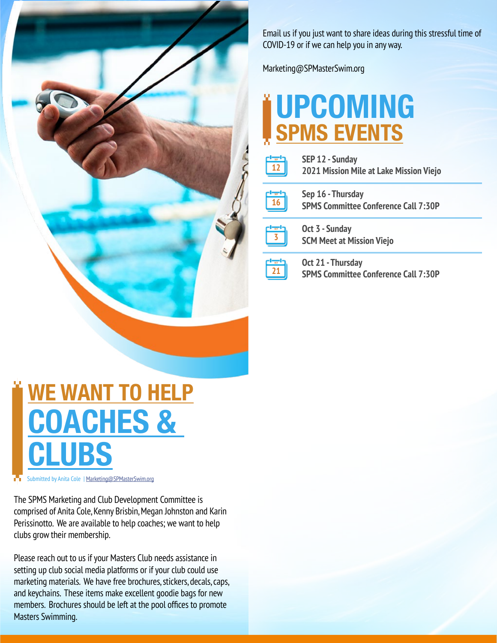

Email us if you just want to share ideas during this stressful time of COVID-19 or if we can help you in any way.

Marketing@SPMasterSwim.org

## **UPCOMING SPMS EVENTS**

| SEP 12 - Sunday<br>2021 Mission Mile at Lake Mission Viejo       |  |
|------------------------------------------------------------------|--|
| Sep 16 - Thursday<br><b>SPMS Committee Conference Call 7:30P</b> |  |
| Oct 3 - Sunday<br><b>SCM Meet at Mission Viejo</b>               |  |
| Oct 21 - Thursday<br><b>SPMS Committee Conference Call 7:30P</b> |  |

**WE WANT TO HELP COACHES & CLUBS**

Submitted by Anita Cole | [Marketing@SPMasterSwim.org](mailto:Marketing%40SPMasterSwim.org?subject=)

The SPMS Marketing and Club Development Committee is comprised of Anita Cole, Kenny Brisbin, Megan Johnston and Karin Perissinotto. We are available to help coaches; we want to help clubs grow their membership.

Please reach out to us if your Masters Club needs assistance in setting up club social media platforms or if your club could use marketing materials. We have free brochures, stickers, decals, caps, and keychains. These items make excellent goodie bags for new members. Brochures should be left at the pool offices to promote Masters Swimming.